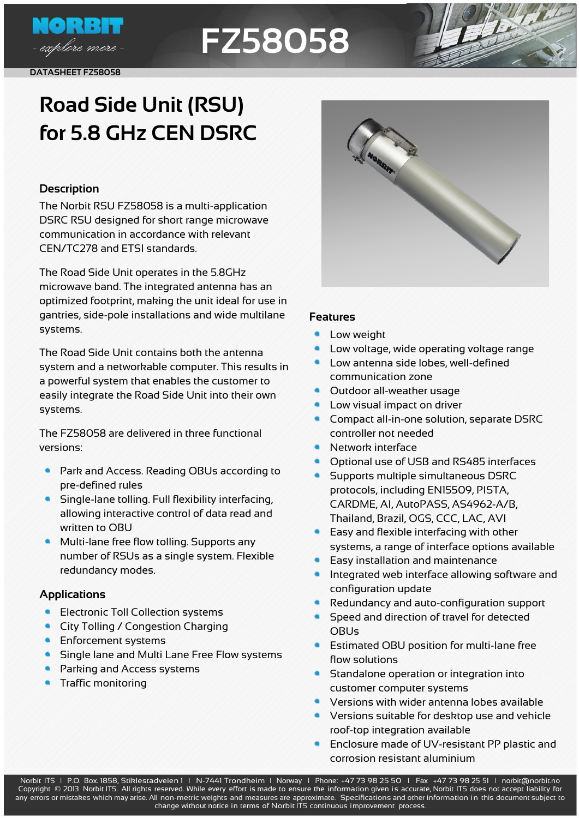

**DATASHEET FZ58058**

## **FZ58058**



### **Road Side Unit (RSU) for 5.8 GHz CEN DSRC**

#### **Description**

The Norbit RSU FZ58058 is a multi-application DSRC RSU designed for short range microwave communication in accordance with relevant CEN/TC278 and ETSI standards.

The Road Side Unit operates in the 5.8GHz microwave band. The integrated antenna has an optimized footprint, making the unit ideal for use in gantries, side-pole installations and wide multilane systems.

The Road Side Unit contains both the antenna system and a networkable computer. This results in a powerful system that enables the customer to easily integrate the Road Side Unit into their own systems.

The FZ58058 are delivered in three functional versions:

- **Park and Access. Reading OBUs according to** pre-defined rules
- Single-lane tolling. Full flexibility interfacing, allowing interactive control of data read and written to OBU
- Multi-lane free flow tolling. Supports any number of RSUs as a single system. Flexible redundancy modes.

#### **Applications**

- Electronic Toll Collection systems
- City Tolling / Congestion Charging
- $\bullet$ Enforcement systems
- Single lane and Multi Lane Free Flow systems
- Parking and Access systems
- Traffic monitoring

#### **Features**

- $\bullet$ Low weight
- Low voltage, wide operating voltage range
- Low antenna side lobes, well-defined communication zone
- **Outdoor all-weather usage**
- Low visual impact on driver
- Compact all-in-one solution, separate DSRC controller not needed
- Network interface
- Optional use of USB and RS485 interfaces
- Supports multiple simultaneous DSRC protocols, including EN15509, PISTA, CARDME, A1, AutoPASS, AS4962-A/B, Thailand, Brazil, OGS, CCC, LAC, AVI
- Easy and flexible interfacing with other systems, a range of interface options available
- Easy installation and maintenance
- Integrated web interface allowing software and configuration update
- Redundancy and auto-configuration support
- Speed and direction of travel for detected OBUs
- **Estimated OBU position for multi-lane free** flow solutions
- Standalone operation or integration into customer computer systems
- Versions with wider antenna lobes available
- Versions suitable for desktop use and vehicle roof-top integration available
- Enclosure made of UV-resistant PP plastic and corrosion resistant aluminium

Norbit ITS | P.O. Box. 1858, Stiklestadveien 1 | N-7441 Trondheim | Norway | Phone: +47 73 98 25 50 | Fax +47 73 98 25 51 | [norbit@norbit.no](mailto:norblt@norbit.no) Copyright © 2013 Norbit ITS. All rights reserved. While every effort is made to ensure the information given is accurate, Norbit ITS does not accept liability for any errors or mistakes which may arise. All non-metric weights and measures are approximate. Specifications and other information in this document subject to change without notice in terms of Norbit ITS continuous improvement process.